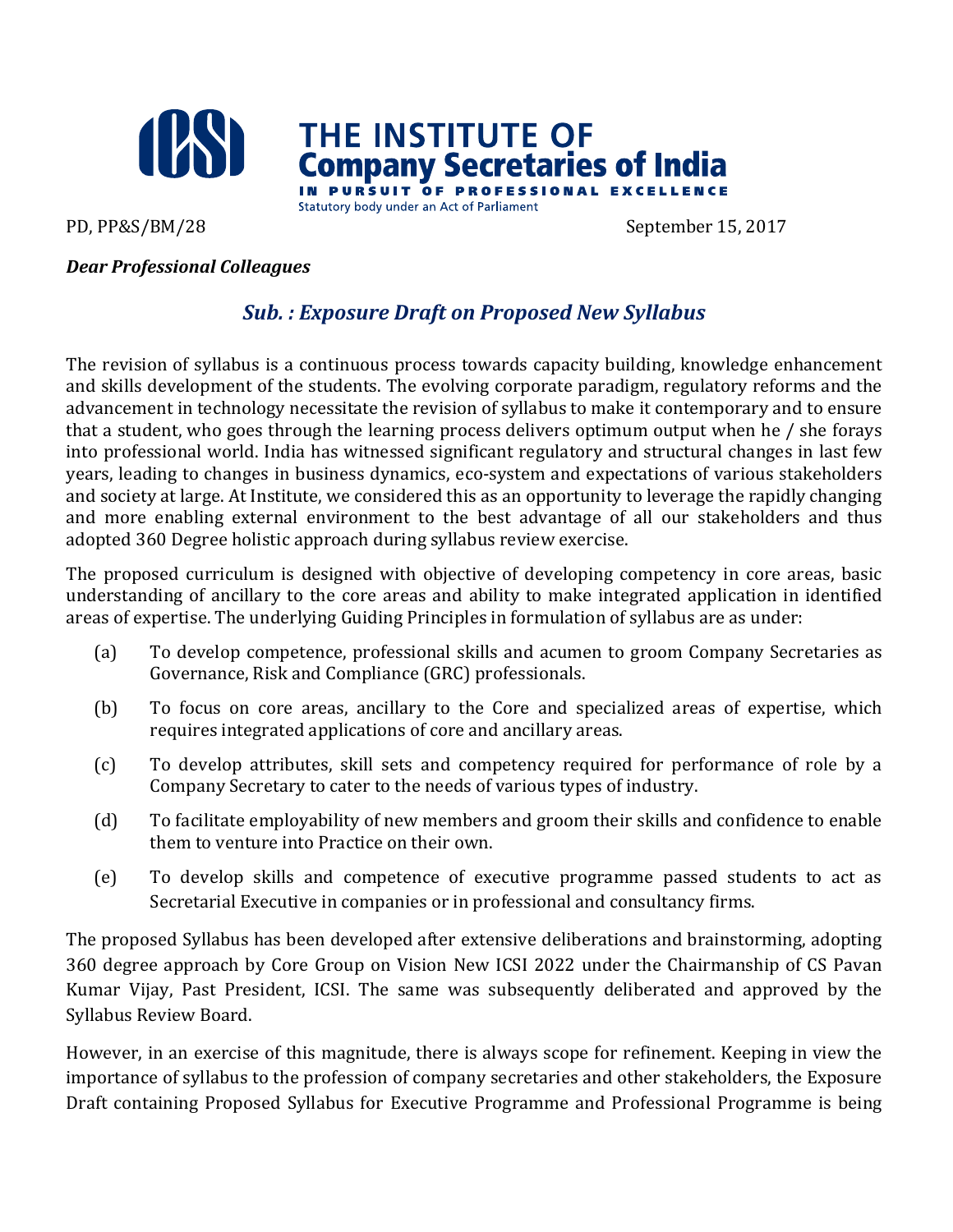

# THE INSTITUTE OF **Company Secretaries of India** PURSUIT OF PROFESSIONAL

Statutory body under an Act of Parliament

PD, PP&S/BM/28 September 15, 2017

### *Dear Professional Colleagues*

## *Sub. : Exposure Draft on Proposed New Syllabus*

The revision of syllabus is a continuous process towards capacity building, knowledge enhancement and skills development of the students. The evolving corporate paradigm, regulatory reforms and the advancement in technology necessitate the revision of syllabus to make it contemporary and to ensure that a student, who goes through the learning process delivers optimum output when he / she forays into professional world. India has witnessed significant regulatory and structural changes in last few years, leading to changes in business dynamics, eco-system and expectations of various stakeholders and society at large. At Institute, we considered this as an opportunity to leverage the rapidly changing and more enabling external environment to the best advantage of all our stakeholders and thus adopted 360 Degree holistic approach during syllabus review exercise.

The proposed curriculum is designed with objective of developing competency in core areas, basic understanding of ancillary to the core areas and ability to make integrated application in identified areas of expertise. The underlying Guiding Principles in formulation of syllabus are as under:

- (a) To develop competence, professional skills and acumen to groom Company Secretaries as Governance, Risk and Compliance (GRC) professionals.
- (b) To focus on core areas, ancillary to the Core and specialized areas of expertise, which requires integrated applications of core and ancillary areas.
- (c) To develop attributes, skill sets and competency required for performance of role by a Company Secretary to cater to the needs of various types of industry.
- (d) To facilitate employability of new members and groom their skills and confidence to enable them to venture into Practice on their own.
- (e) To develop skills and competence of executive programme passed students to act as Secretarial Executive in companies or in professional and consultancy firms.

The proposed Syllabus has been developed after extensive deliberations and brainstorming, adopting 360 degree approach by Core Group on Vision New ICSI 2022 under the Chairmanship of CS Pavan Kumar Vijay, Past President, ICSI. The same was subsequently deliberated and approved by the Syllabus Review Board.

However, in an exercise of this magnitude, there is always scope for refinement. Keeping in view the importance of syllabus to the profession of company secretaries and other stakeholders, the Exposure Draft containing Proposed Syllabus for Executive Programme and Professional Programme is being